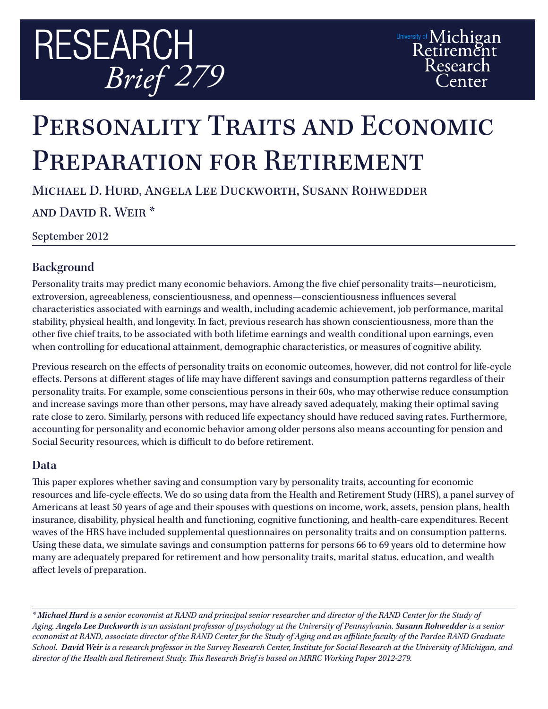

# PERSONALITY TRAITS AND ECONOMIC PREPARATION FOR RETIREMENT

Michael D. Hurd, Angela Lee Duckworth, Susann Rohwedder and David R. Weir \*

September 2012

## **Background**

Personality traits may predict many economic behaviors. Among the five chief personality traits—neuroticism, extroversion, agreeableness, conscientiousness, and openness—conscientiousness influences several characteristics associated with earnings and wealth, including academic achievement, job performance, marital stability, physical health, and longevity. In fact, previous research has shown conscientiousness, more than the other five chief traits, to be associated with both lifetime earnings and wealth conditional upon earnings, even when controlling for educational attainment, demographic characteristics, or measures of cognitive ability.

Previous research on the effects of personality traits on economic outcomes, however, did not control for life-cycle effects. Persons at different stages of life may have different savings and consumption patterns regardless of their personality traits. For example, some conscientious persons in their 60s, who may otherwise reduce consumption and increase savings more than other persons, may have already saved adequately, making their optimal saving rate close to zero. Similarly, persons with reduced life expectancy should have reduced saving rates. Furthermore, accounting for personality and economic behavior among older persons also means accounting for pension and Social Security resources, which is difficult to do before retirement.

### **Data**

This paper explores whether saving and consumption vary by personality traits, accounting for economic resources and life-cycle effects. We do so using data from the Health and Retirement Study (HRS), a panel survey of Americans at least 50 years of age and their spouses with questions on income, work, assets, pension plans, health insurance, disability, physical health and functioning, cognitive functioning, and health-care expenditures. Recent waves of the HRS have included supplemental questionnaires on personality traits and on consumption patterns. Using these data, we simulate savings and consumption patterns for persons 66 to 69 years old to determine how many are adequately prepared for retirement and how personality traits, marital status, education, and wealth affect levels of preparation.

*\* Michael Hurd is a senior economist at RAND and principal senior researcher and director of the RAND Center for the Study of Aging. Angela Lee Duckworth is an assistant professor of psychology at the University of Pennsylvania. Susann Rohwedder is a senior economist at RAND, associate director of the RAND Center for the Study of Aging and an affiliate faculty of the Pardee RAND Graduate School. David Weir is a research professor in the Survey Research Center, Institute for Social Research at the University of Michigan, and director of the Health and Retirement Study. This Research Brief is based on MRRC Working Paper 2012-279.*